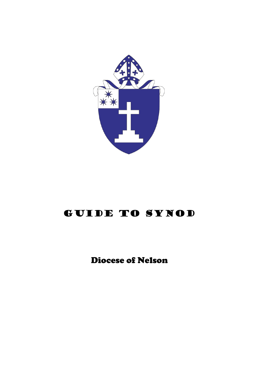

# GUIDE TO SYNOD

Diocese of Nelson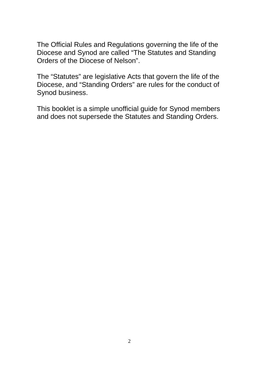The Official Rules and Regulations governing the life of the Diocese and Synod are called "The Statutes and Standing Orders of the Diocese of Nelson".

The "Statutes" are legislative Acts that govern the life of the Diocese, and "Standing Orders" are rules for the conduct of Synod business.

This booklet is a simple unofficial guide for Synod members and does not supersede the Statutes and Standing Orders.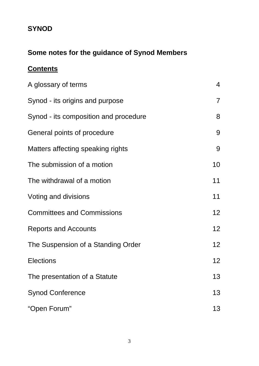## **SYNOD**

# **Some notes for the guidance of Synod Members**

# **Contents**

| A glossary of terms                   | 4               |
|---------------------------------------|-----------------|
| Synod - its origins and purpose       | $\overline{7}$  |
| Synod - its composition and procedure | 8               |
| General points of procedure           | 9               |
| Matters affecting speaking rights     | 9               |
| The submission of a motion            | 10              |
| The withdrawal of a motion            | 11              |
| Voting and divisions                  | 11              |
| <b>Committees and Commissions</b>     | 12 <sub>2</sub> |
| <b>Reports and Accounts</b>           | 12 <sub>2</sub> |
| The Suspension of a Standing Order    | 12 <sup>°</sup> |
| <b>Elections</b>                      | 12 <sup>°</sup> |
| The presentation of a Statute         | 13              |
| <b>Synod Conference</b>               | 13              |
| "Open Forum"                          | 13              |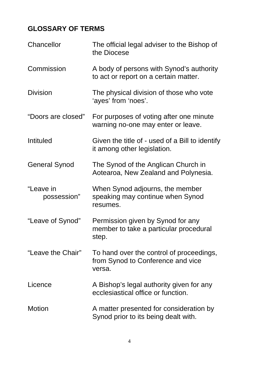# **GLOSSARY OF TERMS**

| Chancellor               | The official legal adviser to the Bishop of<br>the Diocese                              |
|--------------------------|-----------------------------------------------------------------------------------------|
| Commission               | A body of persons with Synod's authority<br>to act or report on a certain matter.       |
| <b>Division</b>          | The physical division of those who vote<br>'ayes' from 'noes'.                          |
| "Doors are closed"       | For purposes of voting after one minute<br>warning no-one may enter or leave.           |
| Intituled                | Given the title of - used of a Bill to identify<br>it among other legislation.          |
| <b>General Synod</b>     | The Synod of the Anglican Church in<br>Aotearoa, New Zealand and Polynesia.             |
| "Leave in<br>possession" | When Synod adjourns, the member<br>speaking may continue when Synod<br>resumes.         |
| "Leave of Synod"         | Permission given by Synod for any<br>member to take a particular procedural<br>step.    |
| "Leave the Chair"        | To hand over the control of proceedings,<br>from Synod to Conference and vice<br>versa. |
| Licence                  | A Bishop's legal authority given for any<br>ecclesiastical office or function.          |
| Motion                   | A matter presented for consideration by<br>Synod prior to its being dealt with.         |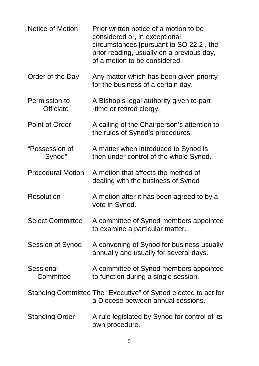| <b>Notice of Motion</b>       | Prior written notice of a motion to be<br>considered or, in exceptional<br>circumstances [pursuant to SO 22.2], the<br>prior reading, usually on a previous day,<br>of a motion to be considered |
|-------------------------------|--------------------------------------------------------------------------------------------------------------------------------------------------------------------------------------------------|
| Order of the Day              | Any matter which has been given priority<br>for the business of a certain day.                                                                                                                   |
| Permission to<br>Officiate    | A Bishop's legal authority given to part<br>-time or retired clergy.                                                                                                                             |
| <b>Point of Order</b>         | A calling of the Chairperson's attention to<br>the rules of Synod's procedures.                                                                                                                  |
| "Possession of<br>Synod"      | A matter when introduced to Synod is<br>then under control of the whole Synod.                                                                                                                   |
| <b>Procedural Motion</b>      | A motion that affects the method of<br>dealing with the business of Synod                                                                                                                        |
| <b>Resolution</b>             | A motion after it has been agreed to by a<br>vote in Synod.                                                                                                                                      |
| <b>Select Committee</b>       | A committee of Synod members appointed<br>to examine a particular matter.                                                                                                                        |
| Session of Synod              | A convening of Synod for business usually<br>annually and usually for several days.                                                                                                              |
| <b>Sessional</b><br>Committee | A committee of Synod members appointed<br>to function during a single session.                                                                                                                   |
|                               | Standing Committee The "Executive" of Synod elected to act for<br>a Diocese between annual sessions.                                                                                             |
| <b>Standing Order</b>         | A rule legislated by Synod for control of its<br>own procedure.                                                                                                                                  |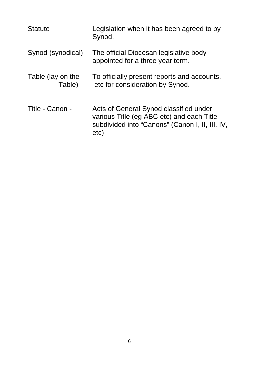| <b>Statute</b>              | Legislation when it has been agreed to by<br>Synod.                                                                                            |
|-----------------------------|------------------------------------------------------------------------------------------------------------------------------------------------|
| Synod (synodical)           | The official Diocesan legislative body<br>appointed for a three year term.                                                                     |
| Table (lay on the<br>Table) | To officially present reports and accounts.<br>etc for consideration by Synod.                                                                 |
| Title - Canon -             | Acts of General Synod classified under<br>various Title (eg ABC etc) and each Title<br>subdivided into "Canons" (Canon I, II, III, IV,<br>etc) |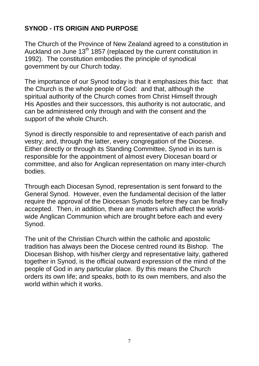### **SYNOD - ITS ORIGIN AND PURPOSE**

The Church of the Province of New Zealand agreed to a constitution in Auckland on June 13<sup>th</sup> 1857 (replaced by the current constitution in 1992). The constitution embodies the principle of synodical government by our Church today.

The importance of our Synod today is that it emphasizes this fact: that the Church is the whole people of God: and that, although the spiritual authority of the Church comes from Christ Himself through His Apostles and their successors, this authority is not autocratic, and can be administered only through and with the consent and the support of the whole Church.

Synod is directly responsible to and representative of each parish and vestry; and, through the latter, every congregation of the Diocese. Either directly or through its Standing Committee, Synod in its turn is responsible for the appointment of almost every Diocesan board or committee, and also for Anglican representation on many inter-church bodies.

Through each Diocesan Synod, representation is sent forward to the General Synod. However, even the fundamental decision of the latter require the approval of the Diocesan Synods before they can be finally accepted. Then, in addition, there are matters which affect the worldwide Anglican Communion which are brought before each and every Synod.

The unit of the Christian Church within the catholic and apostolic tradition has always been the Diocese centred round its Bishop. The Diocesan Bishop, with his/her clergy and representative laity, gathered together in Synod, is the official outward expression of the mind of the people of God in any particular place. By this means the Church orders its own life; and speaks, both to its own members, and also the world within which it works.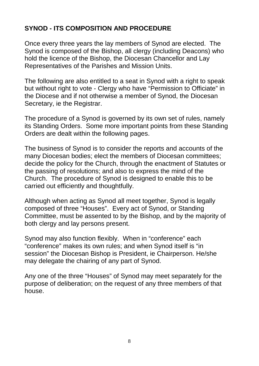#### **SYNOD - ITS COMPOSITION AND PROCEDURE**

Once every three years the lay members of Synod are elected. The Synod is composed of the Bishop, all clergy (including Deacons) who hold the licence of the Bishop, the Diocesan Chancellor and Lay Representatives of the Parishes and Mission Units.

The following are also entitled to a seat in Synod with a right to speak but without right to vote - Clergy who have "Permission to Officiate" in the Diocese and if not otherwise a member of Synod, the Diocesan Secretary, ie the Registrar.

The procedure of a Synod is governed by its own set of rules, namely its Standing Orders. Some more important points from these Standing Orders are dealt within the following pages.

The business of Synod is to consider the reports and accounts of the many Diocesan bodies; elect the members of Diocesan committees; decide the policy for the Church, through the enactment of Statutes or the passing of resolutions; and also to express the mind of the Church. The procedure of Synod is designed to enable this to be carried out efficiently and thoughtfully.

Although when acting as Synod all meet together, Synod is legally composed of three "Houses". Every act of Synod, or Standing Committee, must be assented to by the Bishop, and by the majority of both clergy and lay persons present.

Synod may also function flexibly. When in "conference" each "conference" makes its own rules; and when Synod itself is "in session" the Diocesan Bishop is President, ie Chairperson. He/she may delegate the chairing of any part of Synod.

Any one of the three "Houses" of Synod may meet separately for the purpose of deliberation; on the request of any three members of that house.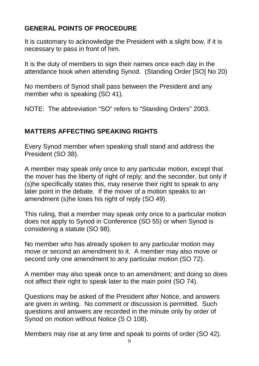### **GENERAL POINTS OF PROCEDURE**

It is customary to acknowledge the President with a slight bow, if it is necessary to pass in front of him.

It is the duty of members to sign their names once each day in the attendance book when attending Synod. (Standing Order [SO] No 20)

No members of Synod shall pass between the President and any member who is speaking (SO 41).

NOTE: The abbreviation "SO" refers to "Standing Orders" 2003.

### **MATTERS AFFECTING SPEAKING RIGHTS**

Every Synod member when speaking shall stand and address the President (SO 38).

A member may speak only once to any particular motion, except that the mover has the liberty of right of reply; and the seconder, but only if (s)he specifically states this, may reserve their right to speak to any later point in the debate. If the mover of a motion speaks to an amendment (s)he loses his right of reply (SO 49).

This ruling, that a member may speak only once to a particular motion does not apply to Synod in Conference (SO 55) or when Synod is considering a statute (SO 98).

No member who has already spoken to any particular motion may move or second an amendment to it. A member may also move or second only one amendment to any particular motion (SO 72).

A member may also speak once to an amendment; and doing so does not affect their right to speak later to the main point (SO 74).

Questions may be asked of the President after Notice, and answers are given in writing. No comment or discussion is permitted. Such questions and answers are recorded in the minute only by order of Synod on motion without Notice (S O 108).

Members may rise at any time and speak to points of order (SO 42).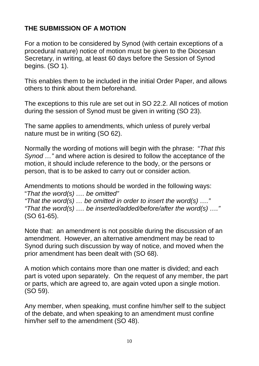#### **THE SUBMISSION OF A MOTION**

For a motion to be considered by Synod (with certain exceptions of a procedural nature) notice of motion must be given to the Diocesan Secretary, in writing, at least 60 days before the Session of Synod begins. (SO 1).

This enables them to be included in the initial Order Paper, and allows others to think about them beforehand.

The exceptions to this rule are set out in SO 22.2. All notices of motion during the session of Synod must be given in writing (SO 23).

The same applies to amendments, which unless of purely verbal nature must be in writing (SO 62).

Normally the wording of motions will begin with the phrase: "*That this Synod …"* and where action is desired to follow the acceptance of the motion, it should include reference to the body, or the persons or person, that is to be asked to carry out or consider action.

Amendments to motions should be worded in the following ways: "*That the word(s) …. be omitted" "That the word(s) … be omitted in order to insert the word(s) …." "That the word(s) …. be inserted/added/before/after the word(s) …."* (SO 61-65).

Note that: an amendment is not possible during the discussion of an amendment. However, an alternative amendment may be read to Synod during such discussion by way of notice, and moved when the prior amendment has been dealt with (SO 68).

A motion which contains more than one matter is divided; and each part is voted upon separately. On the request of any member, the part or parts, which are agreed to, are again voted upon a single motion. (SO 59).

Any member, when speaking, must confine him/her self to the subject of the debate, and when speaking to an amendment must confine him/her self to the amendment (SO 48).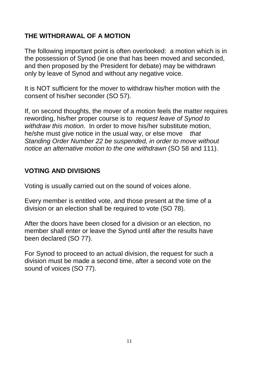#### **THE WITHDRAWAL OF A MOTION**

The following important point is often overlooked: a motion which is in the possession of Synod (ie one that has been moved and seconded, and then proposed by the President for debate) may be withdrawn only by leave of Synod and without any negative voice.

It is NOT sufficient for the mover to withdraw his/her motion with the consent of his/her seconder (SO 57).

If, on second thoughts, the mover of a motion feels the matter requires rewording, his/her proper course is to *request leave of Synod to withdraw this motion*. In order to move his/her substitute motion, he/she must give notice in the usual way, or else move *that Standing Order Number 22 be suspended, in order to move without notice an alternative motion to the one withdrawn* (SO 58 and 111).

#### **VOTING AND DIVISIONS**

Voting is usually carried out on the sound of voices alone.

Every member is entitled vote, and those present at the time of a division or an election shall be required to vote (SO 78).

After the doors have been closed for a division or an election, no member shall enter or leave the Synod until after the results have been declared (SO 77).

For Synod to proceed to an actual division, the request for such a division must be made a second time, after a second vote on the sound of voices (SO 77).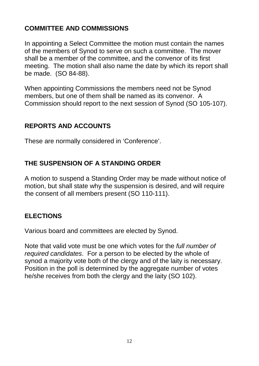#### **COMMITTEE AND COMMISSIONS**

In appointing a Select Committee the motion must contain the names of the members of Synod to serve on such a committee. The mover shall be a member of the committee, and the convenor of its first meeting. The motion shall also name the date by which its report shall be made. (SO 84-88).

When appointing Commissions the members need not be Synod members, but one of them shall be named as its convenor. A Commission should report to the next session of Synod (SO 105-107).

#### **REPORTS AND ACCOUNTS**

These are normally considered in 'Conference'.

#### **THE SUSPENSION OF A STANDING ORDER**

A motion to suspend a Standing Order may be made without notice of motion, but shall state why the suspension is desired, and will require the consent of all members present (SO 110-111).

#### **ELECTIONS**

Various board and committees are elected by Synod.

Note that valid vote must be one which votes for the *full number of required candidates*. For a person to be elected by the whole of synod a majority vote both of the clergy and of the laity is necessary. Position in the poll is determined by the aggregate number of votes he/she receives from both the clergy and the laity (SO 102).